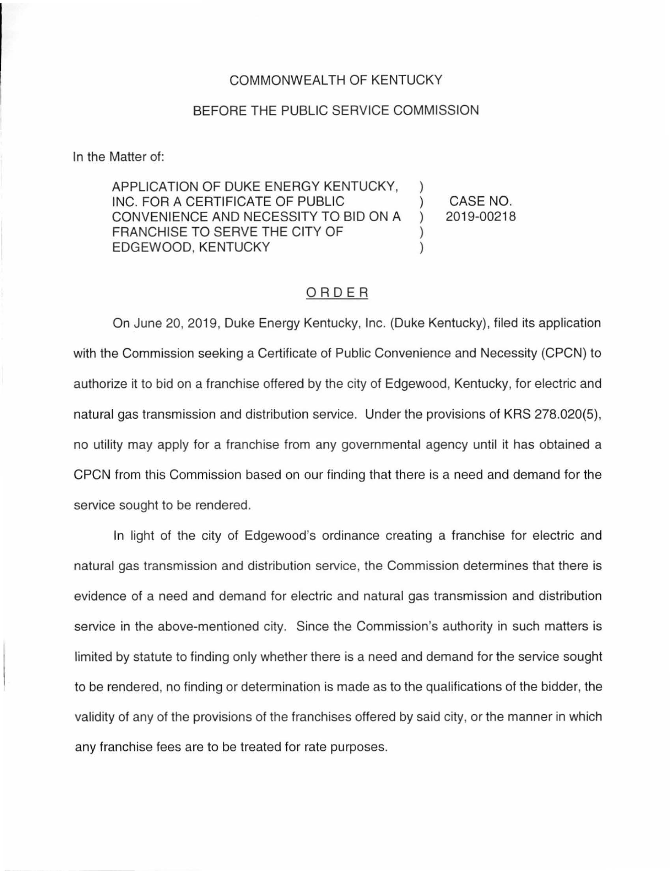## COMMONWEALTH OF KENTUCKY

## BEFORE THE PUBLIC SERVICE COMMISSION

In the Matter of:

APPLICATION OF DUKE ENERGY KENTUCKY, INC. FOR A CERTIFICATE OF PUBLIC ) CONVENIENCE AND NECESSITY TO BID ON A ) FRANCHISE TO SERVE THE CITY OF EDGEWOOD, KENTUCKY )

CASE NO. 2019-00218

## ORDER

On June 20, 2019, Duke Energy Kentucky, Inc. (Duke Kentucky), filed its application with the Commission seeking a Certificate of Public Convenience and Necessity (CPCN) to authorize it to bid on a franchise offered by the city of Edgewood, Kentucky, for electric and natural gas transmission and distribution service. Under the provisions of KRS 278.020(5), no utility may apply for a franchise from any governmental agency until it has obtained a CPCN from this Commission based on our finding that there is a need and demand for the service sought to be rendered.

In light of the city of Edgewood's ordinance creating a franchise for electric and natural gas transmission and distribution service, the Commission determines that there is evidence of a need and demand for electric and natural gas transmission and distribution service in the above-mentioned city. Since the Commission's authority in such matters is limited by statute to finding only whether there is a need and demand for the service sought to be rendered, no finding or determination is made as to the qualifications of the bidder, the validity of any of the provisions of the franchises offered by said city, or the manner in which any franchise fees are to be treated for rate purposes.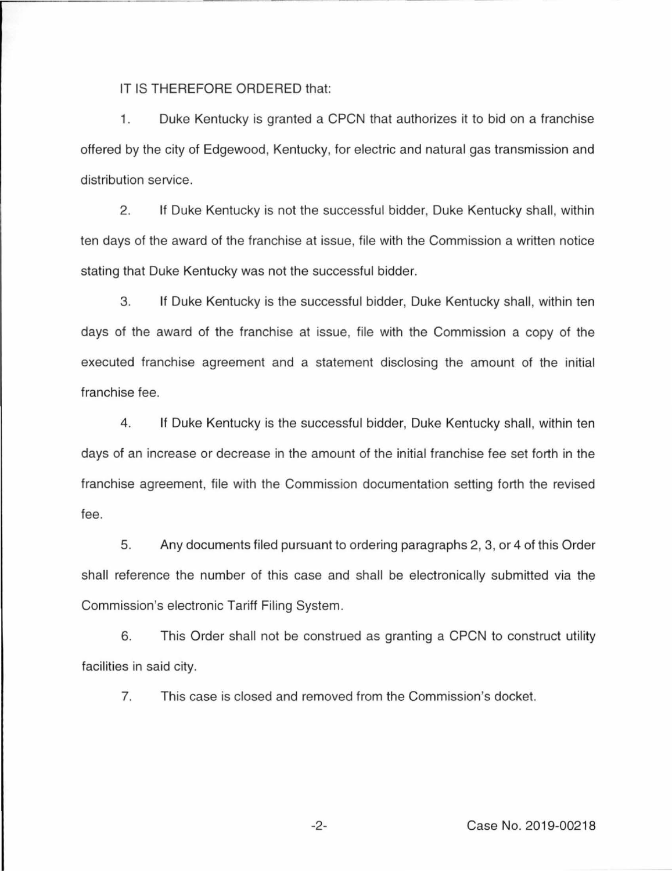IT IS THEREFORE ORDERED that:

1. Duke Kentucky is granted a CPCN that authorizes it to bid on a franchise offered by the city of Edgewood, Kentucky, for electric and natural gas transmission and distribution service.

2. If Duke Kentucky is not the successful bidder, Duke Kentucky shall, within ten days of the award of the franchise at issue, file with the Commission a written notice stating that Duke Kentucky was not the successful bidder.

3. If Duke Kentucky is the successful bidder, Duke Kentucky shall, within ten days of the award of the franchise at issue, file with the Commission a copy of the executed franchise agreement and a statement disclosing the amount of the initial franchise fee.

4. If Duke Kentucky is the successful bidder, Duke Kentucky shall, within ten days of an increase or decrease in the amount of the initial franchise fee set forth in the franchise agreement, file with the Commission documentation setting forth the revised fee.

5. Any documents filed pursuant to ordering paragraphs 2, 3, or 4 of this Order shall reference the number of this case and shall be electronically submitted via the Commission's electronic Tariff Filing System.

6. This Order shall not be construed as granting a CPCN to construct utility facilities in said city.

7. This case is closed and removed from the Commission's docket.

-2- Case No. 2019-00218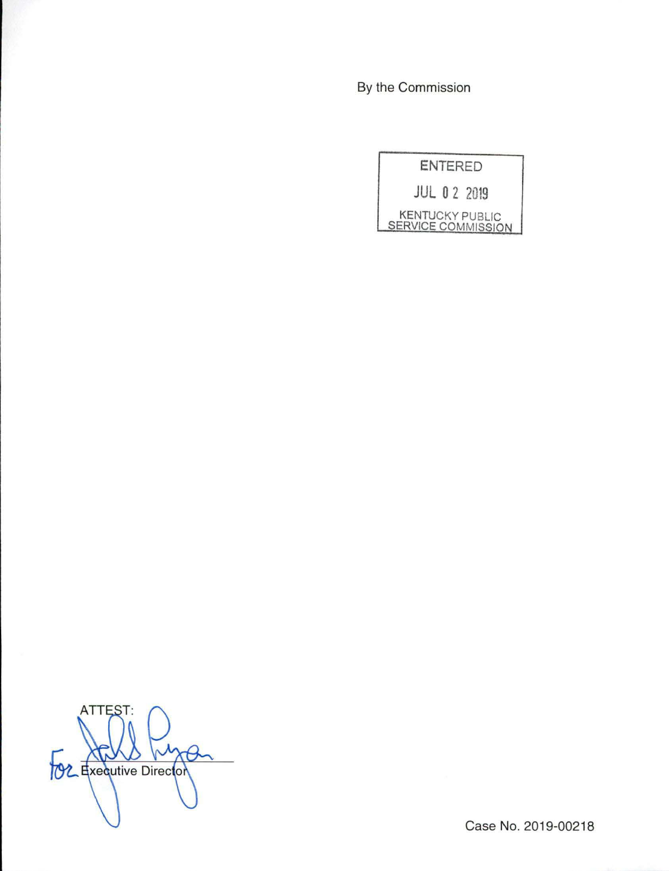By the Commission



**ATTES TOZ** Executive Director

Case No. 2019-00218